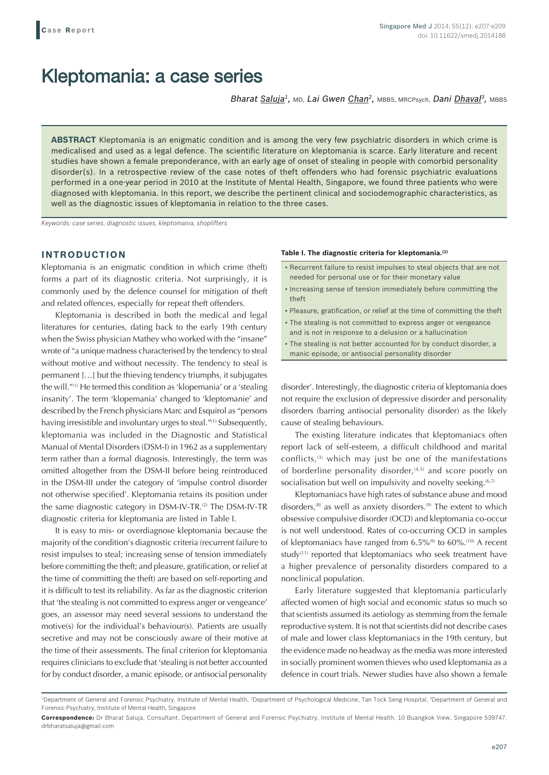# Kleptomania: a case series

*Bharat Saluja1,* MD, *Lai Gwen Chan2,* MBBS, MRCPsych, *Dani Dhaval3,* MBBS

**ABSTRACT** Kleptomania is an enigmatic condition and is among the very few psychiatric disorders in which crime is medicalised and used as a legal defence. The scientific literature on kleptomania is scarce. Early literature and recent studies have shown a female preponderance, with an early age of onset of stealing in people with comorbid personality disorder(s). In a retrospective review of the case notes of theft offenders who had forensic psychiatric evaluations performed in a one-year period in 2010 at the Institute of Mental Health, Singapore, we found three patients who were diagnosed with kleptomania. In this report, we describe the pertinent clinical and sociodemographic characteristics, as well as the diagnostic issues of kleptomania in relation to the three cases.

*Keywords: case series, diagnostic issues, kleptomania, shoplifters*

## **INTRODUCTION**

Kleptomania is an enigmatic condition in which crime (theft) forms a part of its diagnostic criteria. Not surprisingly, it is commonly used by the defence counsel for mitigation of theft and related offences, especially for repeat theft offenders.

Kleptomania is described in both the medical and legal literatures for centuries, dating back to the early 19th century when the Swiss physician Mathey who worked with the "insane" wrote of "a unique madness characterised by the tendency to steal without motive and without necessity. The tendency to steal is permanent […] but the thieving tendency triumphs, it subjugates the will."(1) He termed this condition as 'klopemania' or a 'stealing insanity'. The term 'klopemania' changed to 'kleptomanie' and described by the French physicians Marc and Esquirol as "persons having irresistible and involuntary urges to steal."(1) Subsequently, kleptomania was included in the Diagnostic and Statistical Manual of Mental Disorders (DSM-I) in 1962 as a supplementary term rather than a formal diagnosis. Interestingly, the term was omitted altogether from the DSM-II before being reintroduced in the DSM-III under the category of 'impulse control disorder not otherwise specified'. Kleptomania retains its position under the same diagnostic category in DSM-IV-TR.<sup>(2)</sup> The DSM-IV-TR diagnostic criteria for kleptomania are listed in Table I.

It is easy to mis- or overdiagnose kleptomania because the majority of the condition's diagnostic criteria (recurrent failure to resist impulses to steal; increasing sense of tension immediately before committing the theft; and pleasure, gratification, or relief at the time of committing the theft) are based on self-reporting and it is difficult to test its reliability. As far as the diagnostic criterion that 'the stealing is not committed to express anger or vengeance' goes, an assessor may need several sessions to understand the motive(s) for the individual's behaviour(s). Patients are usually secretive and may not be consciously aware of their motive at the time of their assessments. The final criterion for kleptomania requires clinicians to exclude that 'stealing is not better accounted for by conduct disorder, a manic episode, or antisocial personality

#### **Table I. The diagnostic criteria for kleptomania.(2)**

- Recurrent failure to resist impulses to steal objects that are not needed for personal use or for their monetary value
- Increasing sense of tension immediately before committing the theft
- Pleasure, gratification, or relief at the time of committing the theft
- The stealing is not committed to express anger or vengeance and is not in response to a delusion or a hallucination
- The stealing is not better accounted for by conduct disorder, a manic episode, or antisocial personality disorder

disorder'. Interestingly, the diagnostic criteria of kleptomania does not require the exclusion of depressive disorder and personality disorders (barring antisocial personality disorder) as the likely cause of stealing behaviours.

The existing literature indicates that kleptomaniacs often report lack of self-esteem, a difficult childhood and marital conflicts, $(3)$  which may just be one of the manifestations of borderline personality disorder, $(4,5)$  and score poorly on socialisation but well on impulsivity and novelty seeking.<sup>(6,7)</sup>

Kleptomaniacs have high rates of substance abuse and mood disorders,<sup>(8)</sup> as well as anxiety disorders.<sup>(9)</sup> The extent to which obsessive compulsive disorder (OCD) and kleptomania co-occur is not well understood. Rates of co-occurring OCD in samples of kleptomaniacs have ranged from  $6.5\%$ <sup>(9)</sup> to  $60\%$ .<sup>(10)</sup> A recent study $(11)$  reported that kleptomaniacs who seek treatment have a higher prevalence of personality disorders compared to a nonclinical population.

Early literature suggested that kleptomania particularly affected women of high social and economic status so much so that scientists assumed its aetiology as stemming from the female reproductive system. It is not that scientists did not describe cases of male and lower class kleptomaniacs in the 19th century, but the evidence made no headway as the media was more interested in socially prominent women thieves who used kleptomania as a defence in court trials. Newer studies have also shown a female

<sup>&</sup>lt;sup>1</sup>Department of General and Forensic Psychiatry, Institute of Mental Health, <sup>2</sup>Department of Psychological Medicine, Tan Tock Seng Hospital, <sup>3</sup>Department of General and Forensic Psychiatry, Institute of Mental Health, Singapore

**Correspondence:** Dr Bharat Saluja, Consultant, Department of General and Forensic Psychiatry, Institute of Mental Health, 10 Buangkok View, Singapore 539747. drbharatsaluja@gmail.com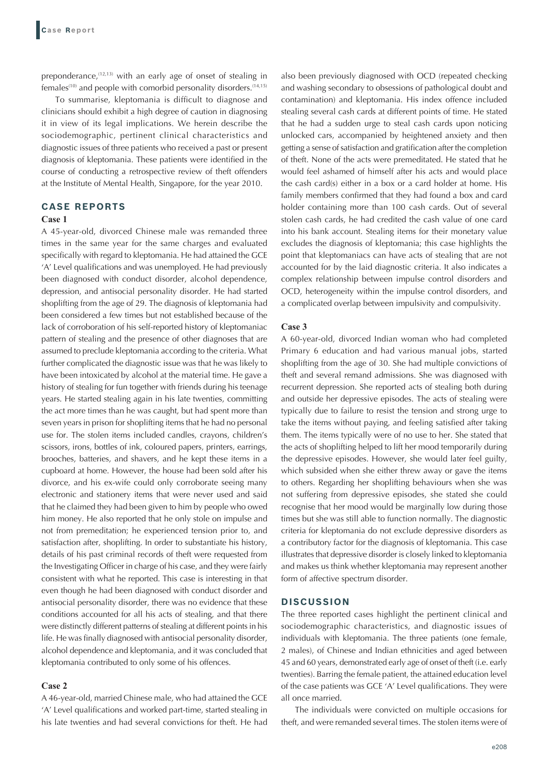preponderance, $(12,13)$  with an early age of onset of stealing in females<sup> $(10)$ </sup> and people with comorbid personality disorders.<sup> $(14,15)$ </sup>

To summarise, kleptomania is difficult to diagnose and clinicians should exhibit a high degree of caution in diagnosing it in view of its legal implications. We herein describe the sociodemographic, pertinent clinical characteristics and diagnostic issues of three patients who received a past or present diagnosis of kleptomania. These patients were identified in the course of conducting a retrospective review of theft offenders at the Institute of Mental Health, Singapore, for the year 2010.

## **CASE REPORTS**

## **Case 1**

A 45-year-old, divorced Chinese male was remanded three times in the same year for the same charges and evaluated specifically with regard to kleptomania. He had attained the GCE 'A' Level qualifications and was unemployed. He had previously been diagnosed with conduct disorder, alcohol dependence, depression, and antisocial personality disorder. He had started shoplifting from the age of 29. The diagnosis of kleptomania had been considered a few times but not established because of the lack of corroboration of his self-reported history of kleptomaniac pattern of stealing and the presence of other diagnoses that are assumed to preclude kleptomania according to the criteria. What further complicated the diagnostic issue was that he was likely to have been intoxicated by alcohol at the material time. He gave a history of stealing for fun together with friends during his teenage years. He started stealing again in his late twenties, committing the act more times than he was caught, but had spent more than seven years in prison for shoplifting items that he had no personal use for. The stolen items included candles, crayons, children's scissors, irons, bottles of ink, coloured papers, printers, earrings, brooches, batteries, and shavers, and he kept these items in a cupboard at home. However, the house had been sold after his divorce, and his ex-wife could only corroborate seeing many electronic and stationery items that were never used and said that he claimed they had been given to him by people who owed him money. He also reported that he only stole on impulse and not from premeditation; he experienced tension prior to, and satisfaction after, shoplifting. In order to substantiate his history, details of his past criminal records of theft were requested from the Investigating Officer in charge of his case, and they were fairly consistent with what he reported. This case is interesting in that even though he had been diagnosed with conduct disorder and antisocial personality disorder, there was no evidence that these conditions accounted for all his acts of stealing, and that there were distinctly different patterns of stealing at different points in his life. He was finally diagnosed with antisocial personality disorder, alcohol dependence and kleptomania, and it was concluded that kleptomania contributed to only some of his offences.

## **Case 2**

A 46-year-old, married Chinese male, who had attained the GCE 'A' Level qualifications and worked part-time, started stealing in his late twenties and had several convictions for theft. He had also been previously diagnosed with OCD (repeated checking and washing secondary to obsessions of pathological doubt and contamination) and kleptomania. His index offence included stealing several cash cards at different points of time. He stated that he had a sudden urge to steal cash cards upon noticing unlocked cars, accompanied by heightened anxiety and then getting a sense of satisfaction and gratification after the completion of theft. None of the acts were premeditated. He stated that he would feel ashamed of himself after his acts and would place the cash card(s) either in a box or a card holder at home. His family members confirmed that they had found a box and card holder containing more than 100 cash cards. Out of several stolen cash cards, he had credited the cash value of one card into his bank account. Stealing items for their monetary value excludes the diagnosis of kleptomania; this case highlights the point that kleptomaniacs can have acts of stealing that are not accounted for by the laid diagnostic criteria. It also indicates a complex relationship between impulse control disorders and OCD, heterogeneity within the impulse control disorders, and a complicated overlap between impulsivity and compulsivity.

### **Case 3**

A 60-year-old, divorced Indian woman who had completed Primary 6 education and had various manual jobs, started shoplifting from the age of 30. She had multiple convictions of theft and several remand admissions. She was diagnosed with recurrent depression. She reported acts of stealing both during and outside her depressive episodes. The acts of stealing were typically due to failure to resist the tension and strong urge to take the items without paying, and feeling satisfied after taking them. The items typically were of no use to her. She stated that the acts of shoplifting helped to lift her mood temporarily during the depressive episodes. However, she would later feel guilty, which subsided when she either threw away or gave the items to others. Regarding her shoplifting behaviours when she was not suffering from depressive episodes, she stated she could recognise that her mood would be marginally low during those times but she was still able to function normally. The diagnostic criteria for kleptomania do not exclude depressive disorders as a contributory factor for the diagnosis of kleptomania. This case illustrates that depressive disorder is closely linked to kleptomania and makes us think whether kleptomania may represent another form of affective spectrum disorder.

## **DISCUSSION**

The three reported cases highlight the pertinent clinical and sociodemographic characteristics, and diagnostic issues of individuals with kleptomania. The three patients (one female, 2 males), of Chinese and Indian ethnicities and aged between 45 and 60 years, demonstrated early age of onset of theft (i.e. early twenties). Barring the female patient, the attained education level of the case patients was GCE 'A' Level qualifications. They were all once married.

The individuals were convicted on multiple occasions for theft, and were remanded several times. The stolen items were of